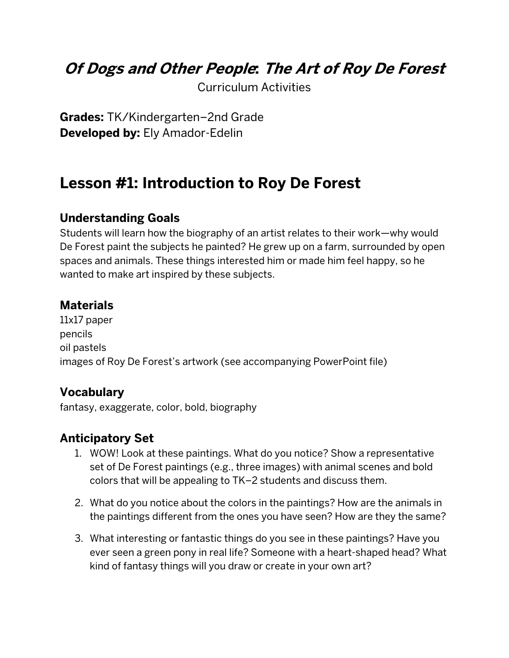## **Of Dogs and Other People: The Art of Roy De Forest**

Curriculum Activities

**Grades:** TK/Kindergarten–2nd Grade **Developed by:** Ely Amador-Edelin

## **Lesson #1: Introduction to Roy De Forest**

## **Understanding Goals**

Students will learn how the biography of an artist relates to their work—why would De Forest paint the subjects he painted? He grew up on a farm, surrounded by open spaces and animals. These things interested him or made him feel happy, so he wanted to make art inspired by these subjects.

## **Materials**

11x17 paper pencils oil pastels images of Roy De Forest's artwork (see accompanying PowerPoint file)

## **Vocabulary**

fantasy, exaggerate, color, bold, biography

## **Anticipatory Set**

- 1. WOW! Look at these paintings. What do you notice? Show a representative set of De Forest paintings (e.g., three images) with animal scenes and bold colors that will be appealing to TK–2 students and discuss them.
- 2. What do you notice about the colors in the paintings? How are the animals in the paintings different from the ones you have seen? How are they the same?
- 3. What interesting or fantastic things do you see in these paintings? Have you ever seen a green pony in real life? Someone with a heart-shaped head? What kind of fantasy things will you draw or create in your own art?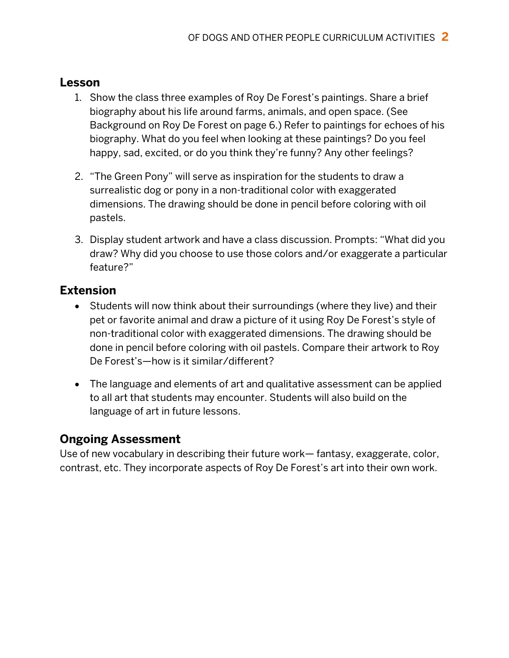#### **Lesson**

- 1. Show the class three examples of Roy De Forest's paintings. Share a brief biography about his life around farms, animals, and open space. (See Background on Roy De Forest on page 6.) Refer to paintings for echoes of his biography. What do you feel when looking at these paintings? Do you feel happy, sad, excited, or do you think they're funny? Any other feelings?
- 2. "The Green Pony" will serve as inspiration for the students to draw a surrealistic dog or pony in a non-traditional color with exaggerated dimensions. The drawing should be done in pencil before coloring with oil pastels.
- 3. Display student artwork and have a class discussion. Prompts: "What did you draw? Why did you choose to use those colors and/or exaggerate a particular feature?"

## **Extension**

- Students will now think about their surroundings (where they live) and their pet or favorite animal and draw a picture of it using Roy De Forest's style of non-traditional color with exaggerated dimensions. The drawing should be done in pencil before coloring with oil pastels. Compare their artwork to Roy De Forest's—how is it similar/different?
- The language and elements of art and qualitative assessment can be applied to all art that students may encounter. Students will also build on the language of art in future lessons.

## **Ongoing Assessment**

Use of new vocabulary in describing their future work— fantasy, exaggerate, color, contrast, etc. They incorporate aspects of Roy De Forest's art into their own work.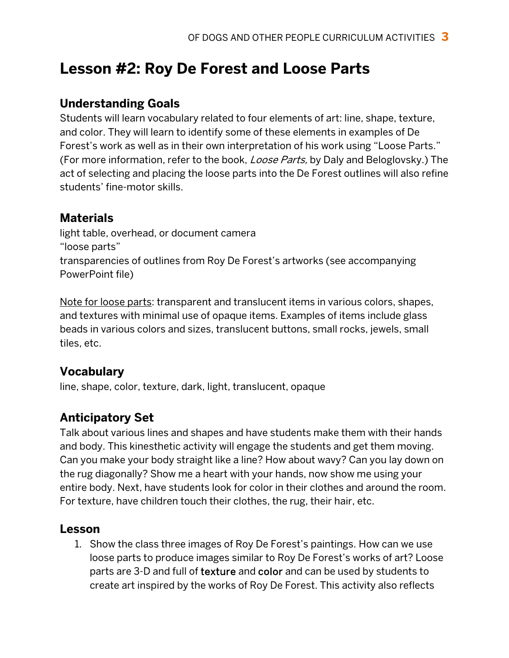# **Lesson #2: Roy De Forest and Loose Parts**

## **Understanding Goals**

Students will learn vocabulary related to four elements of art: line, shape, texture, and color. They will learn to identify some of these elements in examples of De Forest's work as well as in their own interpretation of his work using "Loose Parts." (For more information, refer to the book, *Loose Parts*, by Daly and Beloglovsky.) The act of selecting and placing the loose parts into the De Forest outlines will also refine students' fine-motor skills.

## **Materials**

light table, overhead, or document camera "loose parts" transparencies of outlines from Roy De Forest's artworks (see accompanying PowerPoint file)

Note for loose parts: transparent and translucent items in various colors, shapes, and textures with minimal use of opaque items. Examples of items include glass beads in various colors and sizes, translucent buttons, small rocks, jewels, small tiles, etc.

## **Vocabulary**

line, shape, color, texture, dark, light, translucent, opaque

## **Anticipatory Set**

Talk about various lines and shapes and have students make them with their hands and body. This kinesthetic activity will engage the students and get them moving. Can you make your body straight like a line? How about wavy? Can you lay down on the rug diagonally? Show me a heart with your hands, now show me using your entire body. Next, have students look for color in their clothes and around the room. For texture, have children touch their clothes, the rug, their hair, etc.

## **Lesson**

1. Show the class three images of Roy De Forest's paintings. How can we use loose parts to produce images similar to Roy De Forest's works of art? Loose parts are 3-D and full of texture and color and can be used by students to create art inspired by the works of Roy De Forest. This activity also reflects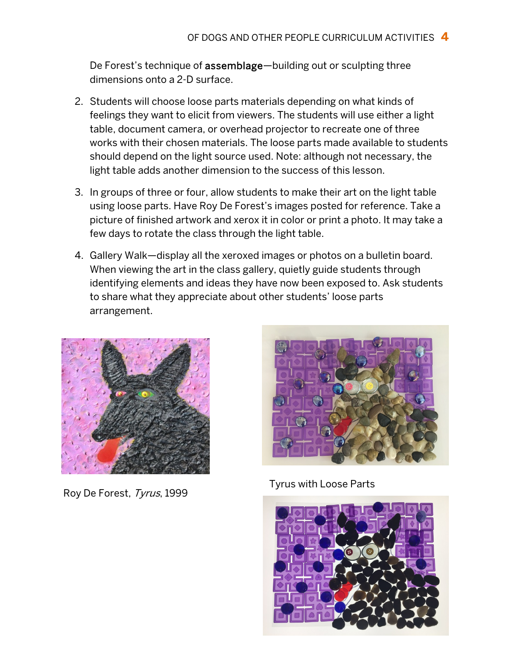De Forest's technique of assemblage—building out or sculpting three dimensions onto a 2-D surface.

- 2. Students will choose loose parts materials depending on what kinds of feelings they want to elicit from viewers. The students will use either a light table, document camera, or overhead projector to recreate one of three works with their chosen materials. The loose parts made available to students should depend on the light source used. Note: although not necessary, the light table adds another dimension to the success of this lesson.
- 3. In groups of three or four, allow students to make their art on the light table using loose parts. Have Roy De Forest's images posted for reference. Take a picture of finished artwork and xerox it in color or print a photo. It may take a few days to rotate the class through the light table.
- 4. Gallery Walk—display all the xeroxed images or photos on a bulletin board. When viewing the art in the class gallery, quietly guide students through identifying elements and ideas they have now been exposed to. Ask students to share what they appreciate about other students' loose parts arrangement.



Roy De Forest, *Tyrus*, 1999 Tyrus with Loose Parts



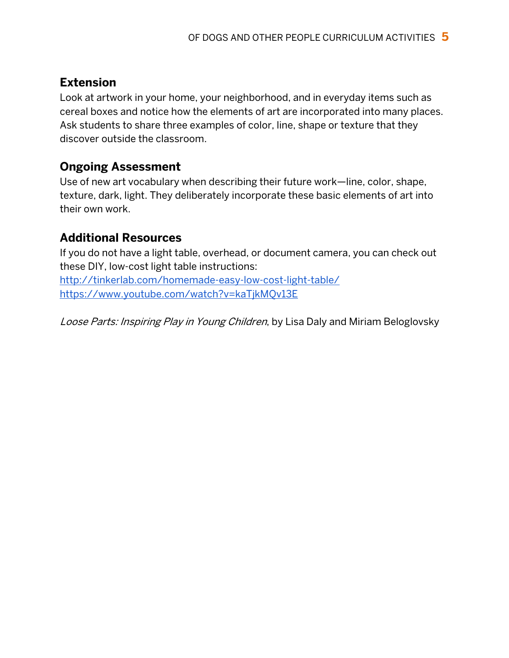## **Extension**

Look at artwork in your home, your neighborhood, and in everyday items such as cereal boxes and notice how the elements of art are incorporated into many places. Ask students to share three examples of color, line, shape or texture that they discover outside the classroom.

#### **Ongoing Assessment**

Use of new art vocabulary when describing their future work—line, color, shape, texture, dark, light. They deliberately incorporate these basic elements of art into their own work.

## **Additional Resources**

If you do not have a light table, overhead, or document camera, you can check out these DIY, low-cost light table instructions:

http://tinkerlab.com/homemade-easy-low-cost-light-table/ https://www.youtube.com/watch?v=kaTjkMQv13E

Loose Parts: Inspiring Play in Young Children, by Lisa Daly and Miriam Beloglovsky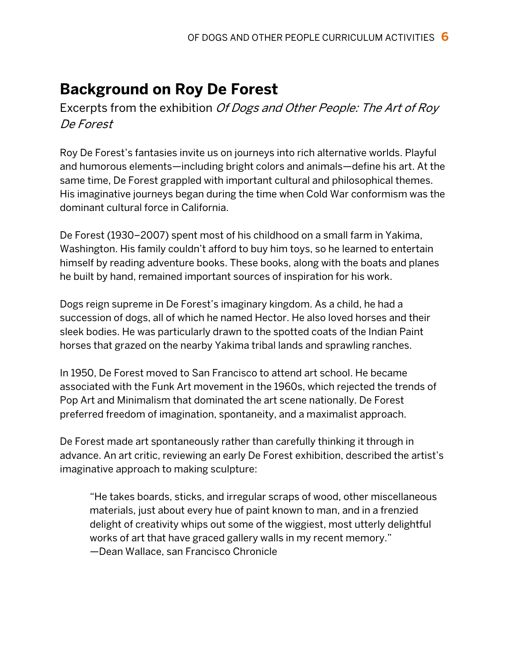# **Background on Roy De Forest**

Excerpts from the exhibition Of Dogs and Other People: The Art of Roy De Forest

Roy De Forest's fantasies invite us on journeys into rich alternative worlds. Playful and humorous elements—including bright colors and animals—define his art. At the same time, De Forest grappled with important cultural and philosophical themes. His imaginative journeys began during the time when Cold War conformism was the dominant cultural force in California.

De Forest (1930–2007) spent most of his childhood on a small farm in Yakima, Washington. His family couldn't afford to buy him toys, so he learned to entertain himself by reading adventure books. These books, along with the boats and planes he built by hand, remained important sources of inspiration for his work.

Dogs reign supreme in De Forest's imaginary kingdom. As a child, he had a succession of dogs, all of which he named Hector. He also loved horses and their sleek bodies. He was particularly drawn to the spotted coats of the Indian Paint horses that grazed on the nearby Yakima tribal lands and sprawling ranches.

In 1950, De Forest moved to San Francisco to attend art school. He became associated with the Funk Art movement in the 1960s, which rejected the trends of Pop Art and Minimalism that dominated the art scene nationally. De Forest preferred freedom of imagination, spontaneity, and a maximalist approach.

De Forest made art spontaneously rather than carefully thinking it through in advance. An art critic, reviewing an early De Forest exhibition, described the artist's imaginative approach to making sculpture:

"He takes boards, sticks, and irregular scraps of wood, other miscellaneous materials, just about every hue of paint known to man, and in a frenzied delight of creativity whips out some of the wiggiest, most utterly delightful works of art that have graced gallery walls in my recent memory." —Dean Wallace, san Francisco Chronicle